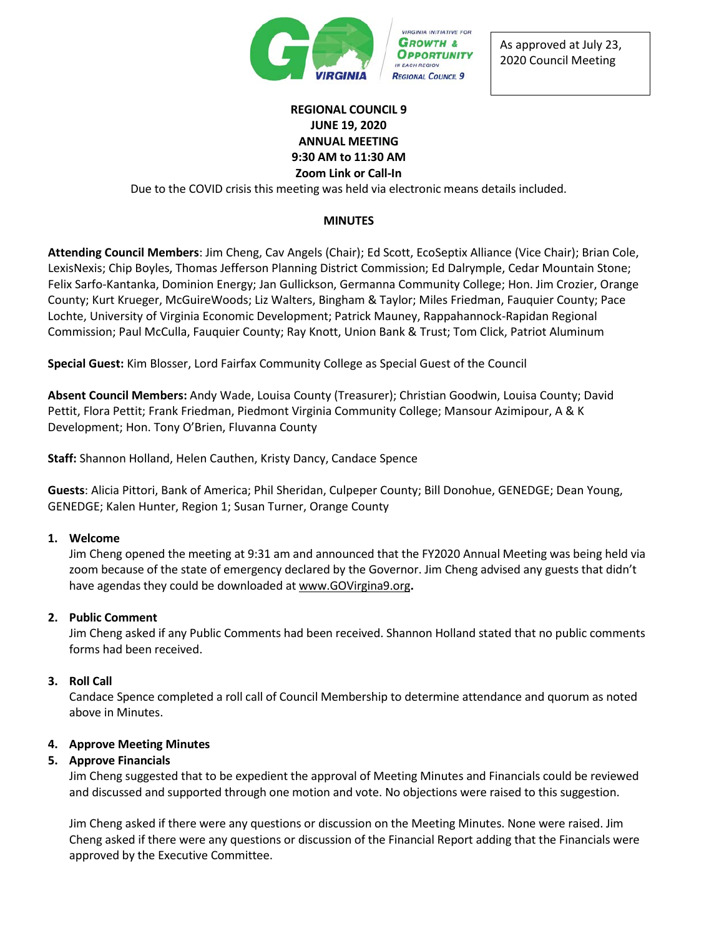

As approved at July 23, 2020 Council Meeting

## **REGIONAL COUNCIL 9 JUNE 19, 2020 ANNUAL MEETING 9:30 AM to 11:30 AM Zoom Link or Call-In**

Due to the COVID crisis this meeting was held via electronic means details included.

## **MINUTES**

**Attending Council Members**: Jim Cheng, Cav Angels (Chair); Ed Scott, EcoSeptix Alliance (Vice Chair); Brian Cole, LexisNexis; Chip Boyles, Thomas Jefferson Planning District Commission; Ed Dalrymple, Cedar Mountain Stone; Felix Sarfo-Kantanka, Dominion Energy; Jan Gullickson, Germanna Community College; Hon. Jim Crozier, Orange County; Kurt Krueger, McGuireWoods; Liz Walters, Bingham & Taylor; Miles Friedman, Fauquier County; Pace Lochte, University of Virginia Economic Development; Patrick Mauney, Rappahannock-Rapidan Regional Commission; Paul McCulla, Fauquier County; Ray Knott, Union Bank & Trust; Tom Click, Patriot Aluminum

**Special Guest:** Kim Blosser, Lord Fairfax Community College as Special Guest of the Council

**Absent Council Members:** Andy Wade, Louisa County (Treasurer); Christian Goodwin, Louisa County; David Pettit, Flora Pettit; Frank Friedman, Piedmont Virginia Community College; Mansour Azimipour, A & K Development; Hon. Tony O'Brien, Fluvanna County

**Staff:** Shannon Holland, Helen Cauthen, Kristy Dancy, Candace Spence

**Guests**: Alicia Pittori, Bank of America; Phil Sheridan, Culpeper County; Bill Donohue, GENEDGE; Dean Young, GENEDGE; Kalen Hunter, Region 1; Susan Turner, Orange County

#### **1. Welcome**

Jim Cheng opened the meeting at 9:31 am and announced that the FY2020 Annual Meeting was being held via zoom because of the state of emergency declared by the Governor. Jim Cheng advised any guests that didn't have agendas they could be downloaded at [www.GOVirgina9.org](http://www.govirgina9.org/)**.**

#### **2. Public Comment**

Jim Cheng asked if any Public Comments had been received. Shannon Holland stated that no public comments forms had been received.

#### **3. Roll Call**

Candace Spence completed a roll call of Council Membership to determine attendance and quorum as noted above in Minutes.

#### **4. Approve Meeting Minutes**

#### **5. Approve Financials**

Jim Cheng suggested that to be expedient the approval of Meeting Minutes and Financials could be reviewed and discussed and supported through one motion and vote. No objections were raised to this suggestion.

Jim Cheng asked if there were any questions or discussion on the Meeting Minutes. None were raised. Jim Cheng asked if there were any questions or discussion of the Financial Report adding that the Financials were approved by the Executive Committee.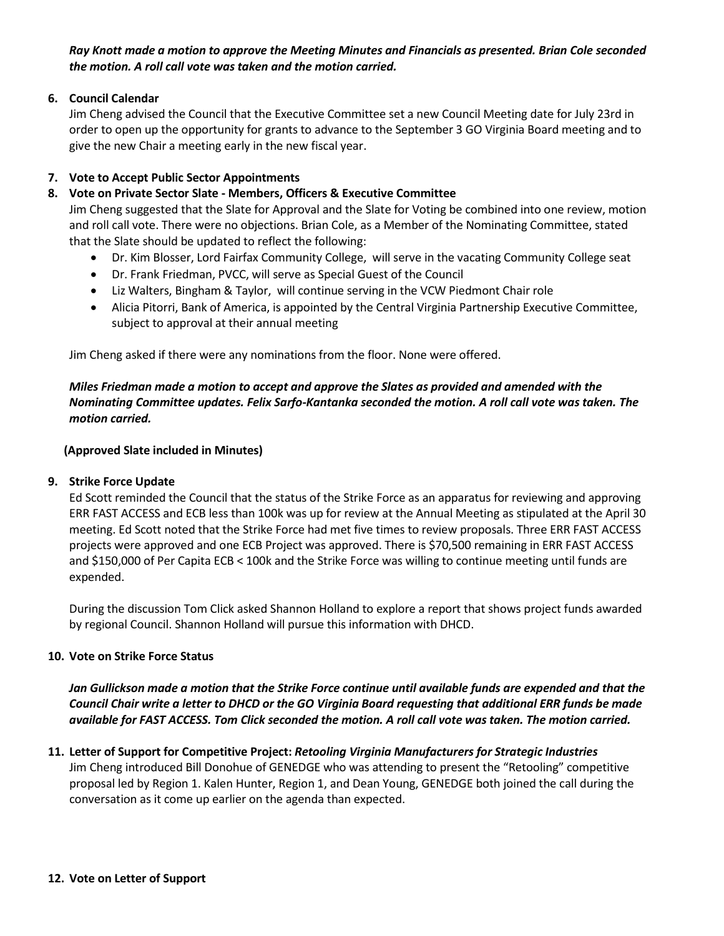*Ray Knott made a motion to approve the Meeting Minutes and Financials as presented. Brian Cole seconded the motion. A roll call vote was taken and the motion carried.* 

#### **6. Council Calendar**

Jim Cheng advised the Council that the Executive Committee set a new Council Meeting date for July 23rd in order to open up the opportunity for grants to advance to the September 3 GO Virginia Board meeting and to give the new Chair a meeting early in the new fiscal year.

## **7. Vote to Accept Public Sector Appointments**

## **8. Vote on Private Sector Slate - Members, Officers & Executive Committee**

Jim Cheng suggested that the Slate for Approval and the Slate for Voting be combined into one review, motion and roll call vote. There were no objections. Brian Cole, as a Member of the Nominating Committee, stated that the Slate should be updated to reflect the following:

- Dr. Kim Blosser, Lord Fairfax Community College, will serve in the vacating Community College seat
- Dr. Frank Friedman, PVCC, will serve as Special Guest of the Council
- Liz Walters, Bingham & Taylor, will continue serving in the VCW Piedmont Chair role
- Alicia Pitorri, Bank of America, is appointed by the Central Virginia Partnership Executive Committee, subject to approval at their annual meeting

Jim Cheng asked if there were any nominations from the floor. None were offered.

## *Miles Friedman made a motion to accept and approve the Slates as provided and amended with the Nominating Committee updates. Felix Sarfo-Kantanka seconded the motion. A roll call vote was taken. The motion carried.*

#### **(Approved Slate included in Minutes)**

#### **9. Strike Force Update**

Ed Scott reminded the Council that the status of the Strike Force as an apparatus for reviewing and approving ERR FAST ACCESS and ECB less than 100k was up for review at the Annual Meeting as stipulated at the April 30 meeting. Ed Scott noted that the Strike Force had met five times to review proposals. Three ERR FAST ACCESS projects were approved and one ECB Project was approved. There is \$70,500 remaining in ERR FAST ACCESS and \$150,000 of Per Capita ECB < 100k and the Strike Force was willing to continue meeting until funds are expended.

During the discussion Tom Click asked Shannon Holland to explore a report that shows project funds awarded by regional Council. Shannon Holland will pursue this information with DHCD.

### **10. Vote on Strike Force Status**

*Jan Gullickson made a motion that the Strike Force continue until available funds are expended and that the Council Chair write a letter to DHCD or the GO Virginia Board requesting that additional ERR funds be made available for FAST ACCESS. Tom Click seconded the motion. A roll call vote was taken. The motion carried.* 

# **11. Letter of Support for Competitive Project:** *Retooling Virginia Manufacturers for Strategic Industries*

Jim Cheng introduced Bill Donohue of GENEDGE who was attending to present the "Retooling" competitive proposal led by Region 1. Kalen Hunter, Region 1, and Dean Young, GENEDGE both joined the call during the conversation as it come up earlier on the agenda than expected.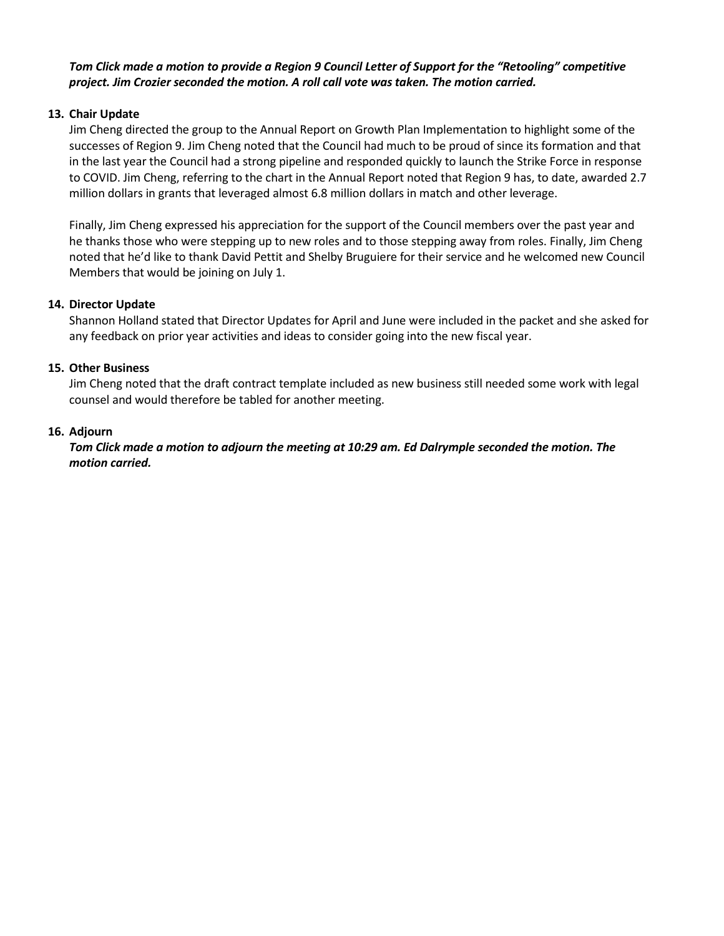## *Tom Click made a motion to provide a Region 9 Council Letter of Support for the "Retooling" competitive project. Jim Crozier seconded the motion. A roll call vote was taken. The motion carried.*

## **13. Chair Update**

Jim Cheng directed the group to the Annual Report on Growth Plan Implementation to highlight some of the successes of Region 9. Jim Cheng noted that the Council had much to be proud of since its formation and that in the last year the Council had a strong pipeline and responded quickly to launch the Strike Force in response to COVID. Jim Cheng, referring to the chart in the Annual Report noted that Region 9 has, to date, awarded 2.7 million dollars in grants that leveraged almost 6.8 million dollars in match and other leverage.

Finally, Jim Cheng expressed his appreciation for the support of the Council members over the past year and he thanks those who were stepping up to new roles and to those stepping away from roles. Finally, Jim Cheng noted that he'd like to thank David Pettit and Shelby Bruguiere for their service and he welcomed new Council Members that would be joining on July 1.

#### **14. Director Update**

Shannon Holland stated that Director Updates for April and June were included in the packet and she asked for any feedback on prior year activities and ideas to consider going into the new fiscal year.

## **15. Other Business**

Jim Cheng noted that the draft contract template included as new business still needed some work with legal counsel and would therefore be tabled for another meeting.

## **16. Adjourn**

## *Tom Click made a motion to adjourn the meeting at 10:29 am. Ed Dalrymple seconded the motion. The motion carried.*